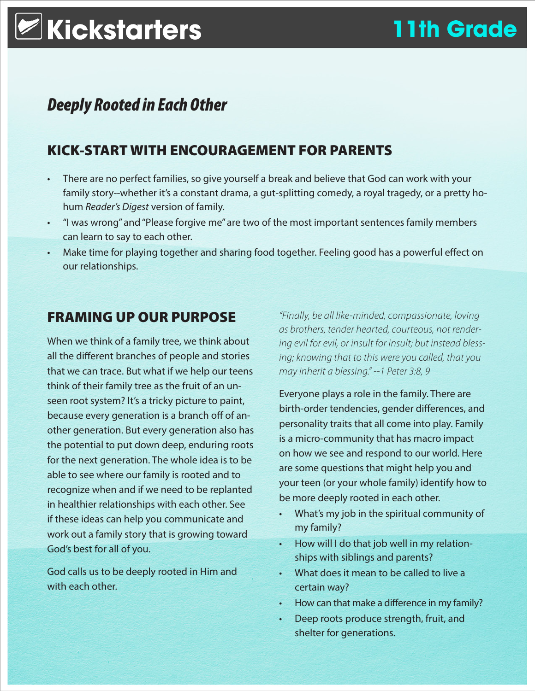# **Kickstarters 11th Grade**

## *Deeply Rooted in Each Other*

## KICK-START WITH ENCOURAGEMENT FOR PARENTS

- There are no perfect families, so give yourself a break and believe that God can work with your family story--whether it's a constant drama, a gut-splitting comedy, a royal tragedy, or a pretty hohum *Reader's Digest* version of family.
- "I was wrong" and "Please forgive me" are two of the most important sentences family members can learn to say to each other.
- Make time for playing together and sharing food together. Feeling good has a powerful effect on our relationships.

## FRAMING UP OUR PURPOSE

When we think of a family tree, we think about all the different branches of people and stories that we can trace. But what if we help our teens think of their family tree as the fruit of an unseen root system? It's a tricky picture to paint, because every generation is a branch off of another generation. But every generation also has the potential to put down deep, enduring roots for the next generation. The whole idea is to be able to see where our family is rooted and to recognize when and if we need to be replanted in healthier relationships with each other. See if these ideas can help you communicate and work out a family story that is growing toward God's best for all of you.

God calls us to be deeply rooted in Him and with each other.

*"Finally, be all like-minded, compassionate, loving as brothers, tender hearted, courteous, not rendering evil for evil, or insult for insult; but instead blessing; knowing that to this were you called, that you may inherit a blessing." --1 Peter 3:8, 9*

Everyone plays a role in the family. There are birth-order tendencies, gender differences, and personality traits that all come into play. Family is a micro-community that has macro impact on how we see and respond to our world. Here are some questions that might help you and your teen (or your whole family) identify how to be more deeply rooted in each other.

- What's my job in the spiritual community of my family?
- How will I do that job well in my relationships with siblings and parents?
- What does it mean to be called to live a certain way?
- How can that make a difference in my family?
- Deep roots produce strength, fruit, and shelter for generations.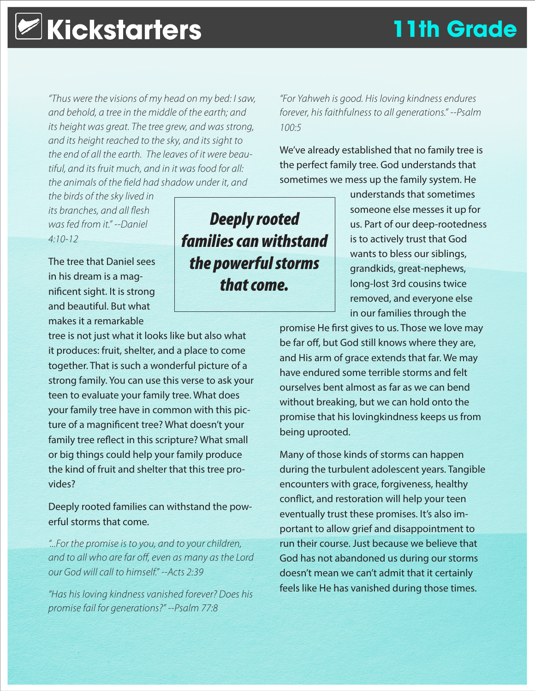## **Kickstarters 11th Grade**

*"Thus were the visions of my head on my bed: I saw, and behold, a tree in the middle of the earth; and its height was great. The tree grew, and was strong, and its height reached to the sky, and its sight to the end of all the earth. The leaves of it were beautiful, and its fruit much, and in it was food for all: the animals of the field had shadow under it, and* 

*the birds of the sky lived in its branches, and all flesh was fed from it." --Daniel 4:10-12*

The tree that Daniel sees in his dream is a magnificent sight. It is strong and beautiful. But what makes it a remarkable

tree is not just what it looks like but also what it produces: fruit, shelter, and a place to come together. That is such a wonderful picture of a strong family. You can use this verse to ask your teen to evaluate your family tree. What does your family tree have in common with this picture of a magnificent tree? What doesn't your family tree reflect in this scripture? What small or big things could help your family produce the kind of fruit and shelter that this tree provides?

Deeply rooted families can withstand the powerful storms that come.

*"...For the promise is to you, and to your children, and to all who are far off, even as many as the Lord our God will call to himself." --Acts 2:39*

*"Has his loving kindness vanished forever? Does his promise fail for generations?" --Psalm 77:8*

*"For Yahweh is good. His loving kindness endures forever, his faithfulness to all generations." --Psalm 100:5*

We've already established that no family tree is the perfect family tree. God understands that sometimes we mess up the family system. He

> understands that sometimes someone else messes it up for us. Part of our deep-rootedness is to actively trust that God wants to bless our siblings, grandkids, great-nephews, long-lost 3rd cousins twice removed, and everyone else in our families through the

promise He first gives to us. Those we love may be far off, but God still knows where they are, and His arm of grace extends that far. We may have endured some terrible storms and felt ourselves bent almost as far as we can bend without breaking, but we can hold onto the promise that his lovingkindness keeps us from being uprooted.

Many of those kinds of storms can happen during the turbulent adolescent years. Tangible encounters with grace, forgiveness, healthy conflict, and restoration will help your teen eventually trust these promises. It's also important to allow grief and disappointment to run their course. Just because we believe that God has not abandoned us during our storms doesn't mean we can't admit that it certainly feels like He has vanished during those times.

*Deeply rooted families can withstand the powerful storms that come.*